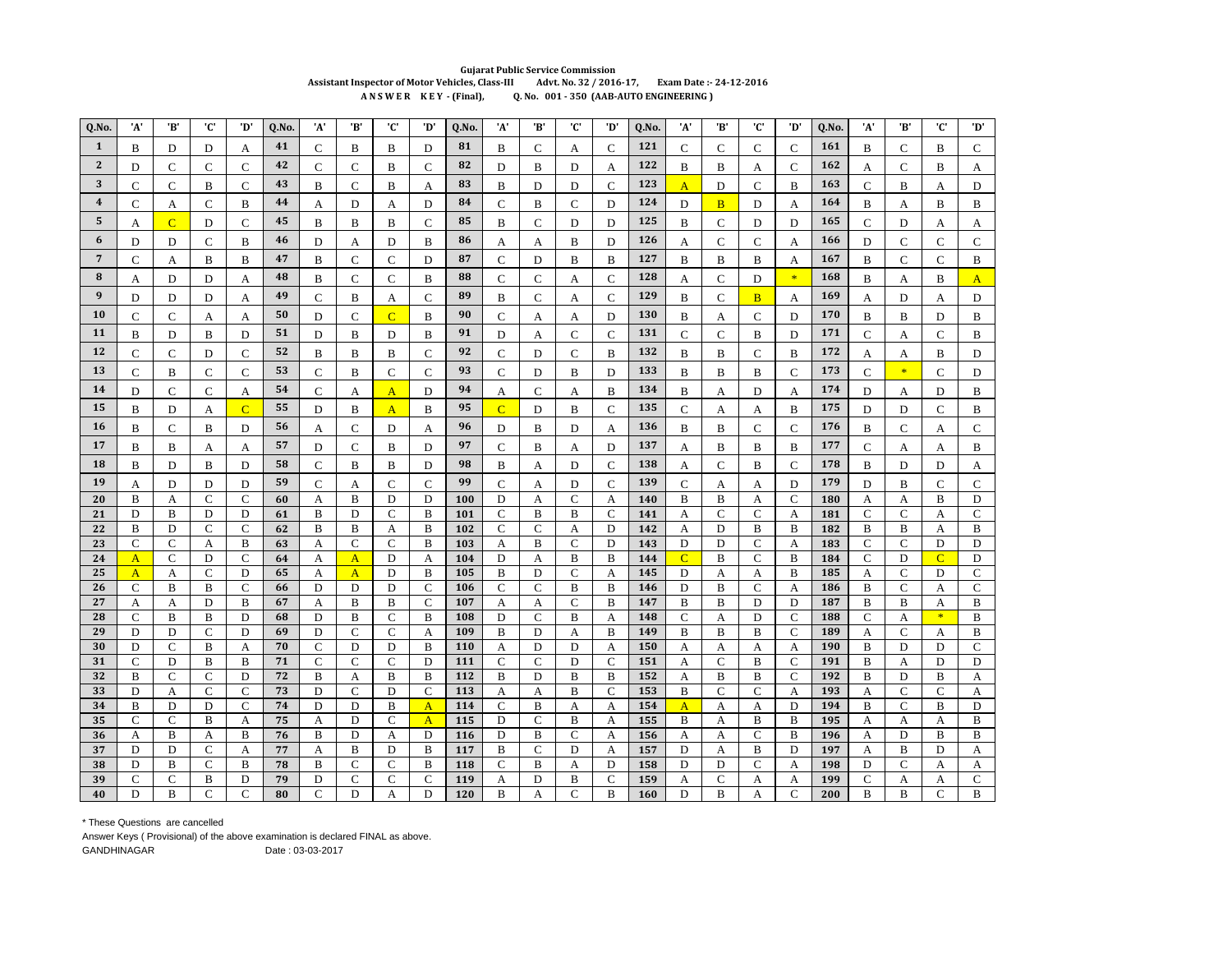## **Gujarat Public Service Commission** Assistant Inspector of Motor Vehicles, Class-III Advt. No. 32 / 2016-17, Exam Date: - 24-12-2016 ANSWER KEY - (Final), Q. No. 001 - 350 (AAB-AUTO ENGINEERING)

| Q.No.            | 'A'                 | 'В'                 | 'C'                          | 'D'               | Q.No.    | 'A'              | 'B'                | 'C'                          | 'D'                          | Q.No.      | 'A'                | 'B'                          | 'C'               | 'D'               | Q.No.      | 'A'                 | 'B'                          | 'C'               | 'D'                        | Q.No.      | 'A'                 | 'B'                         | 'C'              | 'D'                 |
|------------------|---------------------|---------------------|------------------------------|-------------------|----------|------------------|--------------------|------------------------------|------------------------------|------------|--------------------|------------------------------|-------------------|-------------------|------------|---------------------|------------------------------|-------------------|----------------------------|------------|---------------------|-----------------------------|------------------|---------------------|
| $\mathbf{1}$     | B                   | D                   | D                            | А                 | 41       | $\mathsf{C}$     | В                  | B                            | D                            | 81         | B                  | $\mathsf{C}$                 | A                 | $\mathsf{C}$      | 121        | $\mathsf{C}$        | C                            | $\mathbf{C}$      | $\mathbf C$                | 161        | В                   | $\mathsf{C}$                | B                | $\mathsf{C}$        |
| $\mathbf{2}$     | D                   | C                   | C                            | $\mathsf{C}$      | 42       | $\mathbf C$      | $\mathsf{C}$       | B                            | C                            | 82         | D                  | B                            | D                 | A                 | 122        | B                   | B                            | А                 | $\mathbf C$                | 162        | А                   | $\mathbf C$                 | B                | A                   |
| 3                | $\mathbf C$         | C                   | B                            | $\mathsf{C}$      | 43       | B                | $\mathsf{C}$       | B                            | А                            | 83         | B                  | D                            | D                 | $\mathsf{C}$      | 123        | $\overline{A}$      | D                            | $\mathcal{C}$     | B                          | 163        | $\mathsf{C}$        | B                           | А                | D                   |
| $\overline{4}$   | $\mathbf C$         | А                   | $\mathsf{C}$                 | B                 | 44       | A                | D                  | A                            | D                            | 84         | $\mathsf{C}$       | B                            | $\mathsf{C}$      | D                 | 124        | D                   | $\overline{B}$               | D                 | A                          | 164        | B                   | A                           | B                | $\, {\bf B}$        |
| 5                | A                   | $\overline{C}$      | D                            | $\mathsf{C}$      | 45       | B                | B                  | B                            | $\mathsf{C}$                 | 85         | B                  | $\mathcal{C}$                | D                 | D                 | 125        | B                   | C                            | D                 | D                          | 165        | $\mathsf{C}$        | $\mathbf D$                 | A                | A                   |
| 6                | D                   | D                   | $\mathsf{C}$                 | B                 | 46       | D                | A                  | D                            | B                            | 86         | A                  | A                            | B                 | D                 | 126        | А                   | C                            | $\mathsf{C}$      | A                          | 166        | D                   | $\mathbf C$                 | $\mathbf C$      | $\mathbf C$         |
| $\overline{7}$   | $\mathsf{C}$        | А                   | B                            | B                 | 47       | B                | $\mathsf{C}$       | $\mathsf{C}$                 | D                            | 87         | $\mathcal{C}$      | D                            | $\, {\bf B}$      | $\bf{B}$          | 127        | B                   | B                            | B                 | A                          | 167        | B                   | $\mathsf{C}$                | $\mathbf C$      | B                   |
| ${\bf 8}$        | А                   | D                   | D                            | А                 | 48       | B                | $\mathsf{C}$       | $\mathsf{C}$                 | B                            | 88         | $\mathbf C$        | $\mathbf C$                  | A                 | $\mathsf{C}$      | 128        | А                   | C                            | D                 | $\ast$                     | 168        | В                   | A                           | B                | $\mathbf{A}$        |
| $\boldsymbol{9}$ | D                   | D                   | D                            | A                 | 49       | $\mathsf{C}$     | B                  | A                            | $\mathsf{C}$                 | 89         | $\, {\bf B}$       | $\mathbf C$                  | A                 | $\overline{C}$    | 129        | B                   | $\mathbf C$                  | $\overline{B}$    | A                          | 169        | A                   | D                           | A                | $\mathbf D$         |
| 10               | $\mathbf C$         | $\mathsf{C}$        | A                            | A                 | 50       | D                | $\mathsf{C}$       | $\overline{C}$               | B                            | 90         | $\mathsf{C}$       | А                            | А                 | D                 | 130        | B                   | A                            | ${\bf C}$         | D                          | 170        | B                   | B                           | D                | B                   |
| 11               | B                   | D                   | B                            | D                 | 51       | D                | B                  | D                            | B                            | 91         | D                  | A                            | $\mathsf{C}$      | $\mathsf{C}$      | 131        | $\mathbf C$         | $\mathbf C$                  | $\, {\bf B}$      | D                          | 171        | $\mathsf{C}$        | A                           | $\mathbf C$      | B                   |
| 12               | $\mathsf{C}$        | $\mathsf{C}$        | D                            | $\mathsf{C}$      | 52       | B                | B                  | B                            | $\overline{C}$               | 92         | $\mathsf{C}$       | D                            | $\mathsf{C}$      | B                 | 132        | B                   | B                            | $\mathsf{C}$      | B                          | 172        | А                   | А                           | B                | D                   |
| 13               | C                   | B                   | $\mathsf{C}$                 | $\mathsf{C}$      | 53       | $\mathsf{C}$     | B                  | $\mathsf{C}$                 | $\mathbf C$                  | 93         | $\mathsf{C}$       | D                            | B                 | D                 | 133        | $\, {\bf B}$        | B                            | $\, {\bf B}$      | $\mathsf{C}$               | 173        | $\mathsf{C}$        | $\ast$                      | $\mathsf{C}$     | D                   |
| 14               | D                   | $\mathsf{C}$        | $\mathsf{C}$                 | А                 | 54       | $\mathsf{C}$     | A                  | $\overline{A}$               | D                            | 94         | A                  | $\mathsf{C}$                 | A                 | B                 | 134        | B                   | А                            | D                 | A                          | 174        | D                   | A                           | D                | B                   |
| 15               | B                   | D                   | А                            | $\overline{C}$    | 55       | D                | B                  | $\overline{A}$               | B                            | 95         | $\overline{C}$     | D                            | B                 | $\mathsf{C}$      | 135        | $\mathsf{C}$        | А                            | А                 | B                          | 175        | D                   | D                           | $\mathbf C$      | $\, {\bf B}$        |
| 16               | B                   | $\mathsf{C}$        | B                            | D                 | 56       | А                | $\mathsf{C}$       | D                            | А                            | 96         | D                  | B                            | D                 | A                 | 136        | B                   | B                            | $\mathbf{C}$      | $\mathsf{C}$               | 176        | В                   | $\mathcal{C}$               | A                | С                   |
| 17               | B                   | B                   | A                            | А                 | 57       | D                | C                  | B                            | D                            | 97         | $\mathsf{C}$       | B                            | A                 | D                 | 137        | А                   | B                            | B                 | B                          | 177        | $\mathbf C$         | A                           | А                | B                   |
| 18               | B                   | D                   | B                            | D                 | 58       | $\mathbf C$      | B                  | B                            | D                            | 98         | B                  | A                            | D                 | $\mathsf{C}$      | 138        | A                   | $\mathbf C$                  | $\, {\bf B}$      | $\mathbf C$                | 178        | $\, {\bf B}$        | D                           | D                | A                   |
| 19               | А                   | D                   | D                            | D                 | 59       | $\mathbf C$      | A                  | $\mathsf{C}$                 | $\mathsf{C}$                 | 99         | $\mathcal{C}$      | А                            | D                 | $\mathbf C$       | 139        | $\mathsf{C}$        | A                            | А                 | D                          | 179        | D                   | B                           | $\mathbf C$      | $\mathbf C$         |
| 20               | B                   | A                   | $\overline{C}$               | $\mathsf{C}$      | 60       | A                | B                  | D                            | D                            | 100        | D                  | $\mathbf{A}$                 | $\mathsf{C}$      | $\mathbf{A}$      | 140        | B                   | B                            | $\mathbf{A}$      | $\mathbf C$                | 180        | A                   | A                           | B                | $\mathbf D$         |
| 21               | D                   | B                   | D                            | D                 | 61       | $\bf{B}$         | D                  | $\mathsf{C}$                 | B                            | 101        | $\mathbf C$        | B                            | B                 | $\mathsf{C}$      | 141        | A                   | $\mathbf C$                  | $\mathbf C$       | A                          | 181        | $\mathbf C$         | $\mathbf C$                 | A                | ${\bf C}$           |
| 22<br>23         | B<br>$\mathbf C$    | D<br>$\mathsf{C}$   | $\mathsf{C}$<br>A            | $\mathsf{C}$<br>B | 62<br>63 | B<br>A           | B<br>$\mathsf{C}$  | А<br>$\mathsf{C}$            | B<br>B                       | 102<br>103 | $\mathbf C$<br>A   | $\mathsf{C}$<br>$\, {\bf B}$ | A<br>$\mathbf C$  | D<br>D            | 142<br>143 | A<br>D              | D<br>D                       | B<br>$\mathbf C$  | B<br>A                     | 182<br>183 | B<br>$\mathbf C$    | B<br>$\mathbf C$            | A<br>D           | B<br>D              |
| 24               | $\overline{A}$      | $\mathsf{C}$        | D                            | $\mathsf{C}$      | 64       | A                | $\mathbf{A}$       | D                            | A                            | 104        | D                  | А                            | B                 | B                 | 144        | $\overline{C}$      | B                            | C                 | B                          | 184        | $\mathsf{C}$        | D                           | $\overline{C}$   | D                   |
| 25               | $\mathbf{A}$        | A                   | $\mathsf{C}$                 | D                 | 65       | A                | $\mathbf{A}$       | D                            | B                            | 105        | B                  | D                            | $\mathsf{C}$      | A                 | 145        | D                   | A                            | A                 | B                          | 185        | A                   | $\mathsf{C}$                | D                | $\mathbf C$         |
| 26               | $\mathbf C$         | B                   | B                            | $\mathsf{C}$      | 66       | D                | D                  | D                            | $\mathsf{C}$                 | 106        | $\mathsf{C}$       | $\mathsf{C}$                 | B                 | $\, {\bf B}$      | 146        | D                   | B                            | $\mathsf{C}$      | A                          | 186        | B                   | $\mathsf{C}$                | A                | $\mathsf{C}$        |
| 27               | A                   | A                   | D                            | B                 | 67       | A                | B                  | B                            | $\mathsf{C}$                 | 107        | A                  | A                            | $\mathsf{C}$      | $\, {\bf B}$      | 147        | B                   | B                            | D                 | $\mathbf D$                | 187        | В                   | B                           | A<br>$\ast$      | B                   |
| 28<br>29         | $\mathsf{C}$<br>D   | $\bf{B}$<br>D       | $\, {\bf B}$<br>$\mathsf{C}$ | D<br>D            | 68<br>69 | D<br>D           | B<br>$\mathcal{C}$ | $\mathsf{C}$<br>$\mathsf{C}$ | B<br>А                       | 108<br>109 | D<br>B             | $\mathsf{C}$<br>D            | B<br>А            | A<br>B            | 148<br>149 | $\mathsf{C}$<br>B   | A<br>B                       | D<br>B            | $\mathbf C$<br>$\mathbf C$ | 188<br>189 | $\mathbf C$<br>A    | A<br>$\mathcal{C}$          | A                | B<br>B              |
| 30               | D                   | $\mathsf{C}$        | $\bf{B}$                     | A                 | 70       | $\mathsf{C}$     | D                  | D                            | B                            | 110        | A                  | D                            | D                 | A                 | 150        | A                   | A                            | A                 | A                          | 190        | В                   | D                           | D                | $\mathbf C$         |
| 31               | $\mathbf C$         | D                   | B                            | B                 | 71       | $\mathsf{C}$     | $\mathsf{C}$       | $\mathsf{C}$                 | D                            | 111        | $\mathcal{C}$      | $\mathcal{C}$                | D                 | $\mathcal{C}$     | 151        | A                   | C                            | B                 | $\mathbf C$                | 191        | B                   | A                           | D                | D                   |
| 32               | B                   | $\mathbf C$         | $\mathsf{C}$                 | D                 | 72       | $\bf{B}$         | A                  | B                            | B                            | 112        | B                  | D                            | $\bf{B}$          | $\, {\bf B}$      | 152        | A                   | B                            | $\, {\bf B}$      | $\mathbf C$                | 192        | В                   | D                           | B                | A                   |
| 33<br>34         | D                   | A                   | $\mathsf{C}$                 | $\mathsf{C}$      | 73<br>74 | D<br>D           | $\mathsf{C}$       | D                            | $\mathsf{C}$                 | 113<br>114 | А                  | А                            | B                 | $\mathsf{C}$      | 153        | B                   | C                            | $\mathsf{C}$      | A                          | 193        | A                   | $\mathbf C$<br>$\mathsf{C}$ | $\mathsf{C}$     | A                   |
| 35               | B<br>$\mathbf C$    | D<br>$\overline{C}$ | D<br>$\, {\bf B}$            | $\mathsf{C}$<br>A | 75       | A                | D<br>D             | B<br>C                       | $\mathbf{A}$<br>$\mathbf{A}$ | 115        | $\mathcal{C}$<br>D | B<br>$\mathbf C$             | A<br>B            | $\mathbf{A}$<br>Α | 154<br>155 | $\overline{A}$<br>B | A<br>A                       | A<br>$\, {\bf B}$ | D<br>B                     | 194<br>195 | B<br>А              | A                           | B<br>А           | D<br>B              |
| 36               | A                   | B                   | A                            | B                 | 76       | B                | D                  | A                            | D                            | 116        | D                  | B                            | $\mathsf{C}$      | A                 | 156        | А                   | А                            | $\mathbf{C}$      | B                          | 196        | A                   | D                           | B                | B                   |
| 37               | D                   | D                   | $\mathsf{C}$                 | A                 | 77       | A                | B                  | D                            | B                            | 117        | B                  | $\mathsf{C}$                 | D                 | A                 | 157        | D                   | A                            | $\, {\bf B}$      | D                          | 197        | А                   | B                           | D                | A                   |
| 38               | D                   | B                   | C                            | B                 | 78       | B                | $\mathsf{C}$       | $\mathsf{C}$                 | B                            | 118        | $\mathcal{C}$      | B                            | А                 | D                 | 158        | D                   | D                            | $\mathsf{C}$      | A                          | 198        | D                   | $\mathsf{C}$                | А                | A                   |
| 39<br>40         | $\overline{C}$<br>D | $\overline{C}$<br>B | B<br>$\overline{C}$          | D<br>$\mathsf{C}$ | 79<br>80 | D<br>$\mathbf C$ | $\mathsf{C}$<br>D  | $\mathbf C$<br>A             | $\mathsf{C}$<br>D            | 119<br>120 | A<br>B             | D<br>A                       | B<br>$\mathsf{C}$ | $\mathsf{C}$<br>B | 159<br>160 | A<br>D              | $\mathsf{C}$<br>$\, {\bf B}$ | A<br>A            | A<br>$\mathbf C$           | 199<br>200 | $\overline{C}$<br>B | A<br>B                      | A<br>$\mathbf C$ | $\overline{C}$<br>B |
|                  |                     |                     |                              |                   |          |                  |                    |                              |                              |            |                    |                              |                   |                   |            |                     |                              |                   |                            |            |                     |                             |                  |                     |

\* These Questions are cancelled

Answer Keys (Provisional) of the above examination is declared FINAL as above. GANDHINAGAR Date: 03-03-2017